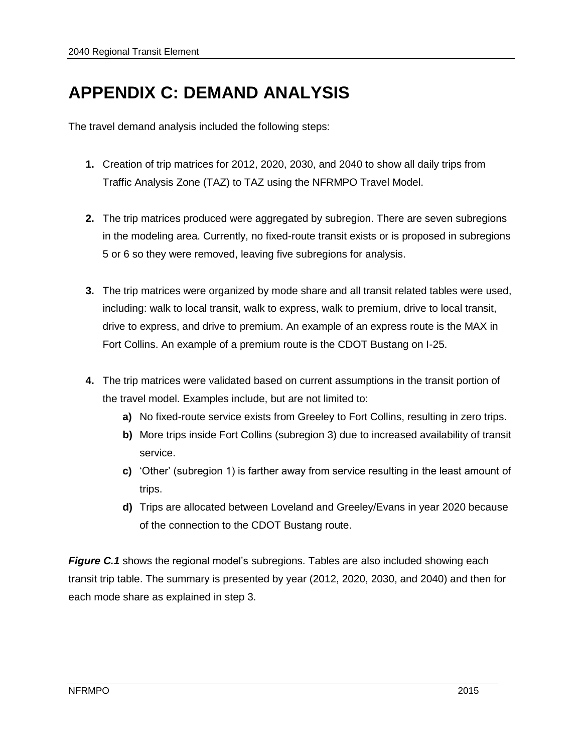# **APPENDIX C: DEMAND ANALYSIS**

The travel demand analysis included the following steps:

- **1.** Creation of trip matrices for 2012, 2020, 2030, and 2040 to show all daily trips from Traffic Analysis Zone (TAZ) to TAZ using the NFRMPO Travel Model.
- **2.** The trip matrices produced were aggregated by subregion. There are seven subregions in the modeling area. Currently, no fixed-route transit exists or is proposed in subregions 5 or 6 so they were removed, leaving five subregions for analysis.
- **3.** The trip matrices were organized by mode share and all transit related tables were used, including: walk to local transit, walk to express, walk to premium, drive to local transit, drive to express, and drive to premium. An example of an express route is the MAX in Fort Collins. An example of a premium route is the CDOT Bustang on I-25.
- **4.** The trip matrices were validated based on current assumptions in the transit portion of the travel model. Examples include, but are not limited to:
	- **a)** No fixed-route service exists from Greeley to Fort Collins, resulting in zero trips.
	- **b)** More trips inside Fort Collins (subregion 3) due to increased availability of transit service.
	- **c)** 'Other' (subregion 1) is farther away from service resulting in the least amount of trips.
	- **d)** Trips are allocated between Loveland and Greeley/Evans in year 2020 because of the connection to the CDOT Bustang route.

*Figure C.1* shows the regional model's subregions. Tables are also included showing each transit trip table. The summary is presented by year (2012, 2020, 2030, and 2040) and then for each mode share as explained in step 3.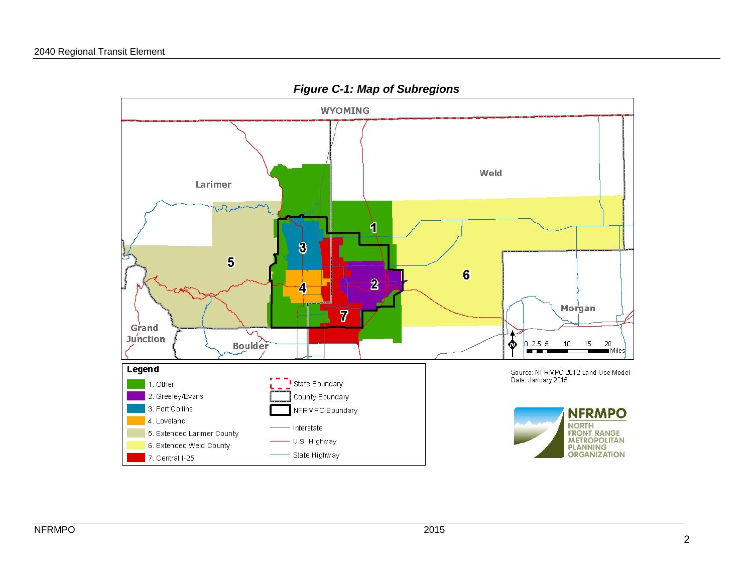

*Figure C-1: Map of Subregions*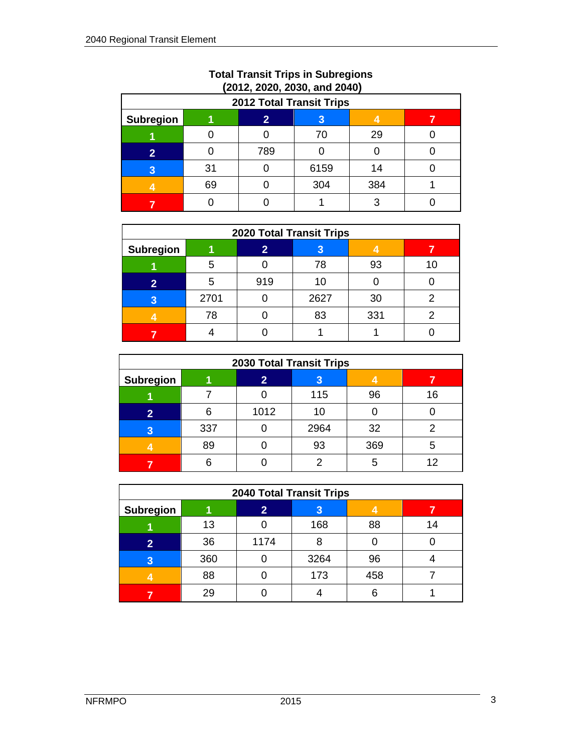| <b>2012 Total Transit Trips</b>         |    |     |      |     |  |  |  |  |  |
|-----------------------------------------|----|-----|------|-----|--|--|--|--|--|
| <b>Subregion</b><br>$\overline{2}$<br>3 |    |     |      |     |  |  |  |  |  |
|                                         |    |     | 70   | 29  |  |  |  |  |  |
| $\overline{\mathbf{2}}$                 |    | 789 |      |     |  |  |  |  |  |
| 3                                       | 31 |     | 6159 | 14  |  |  |  |  |  |
|                                         | 69 |     | 304  | 384 |  |  |  |  |  |
|                                         |    |     |      |     |  |  |  |  |  |

#### **Total Transit Trips in Subregions (2012, 2020, 2030, and 2040)**

| <b>2020 Total Transit Trips</b> |        |     |      |     |    |  |  |  |  |
|---------------------------------|--------|-----|------|-----|----|--|--|--|--|
| <b>Subregion</b>                | 2<br>3 |     |      |     |    |  |  |  |  |
|                                 | 5      |     | 78   | 93  | 10 |  |  |  |  |
| 2                               | 5      | 919 | 10   |     |    |  |  |  |  |
| 3                               | 2701   |     | 2627 | 30  |    |  |  |  |  |
|                                 | 78     |     | 83   | 331 |    |  |  |  |  |
|                                 |        |     |      |     |    |  |  |  |  |

| <b>2030 Total Transit Trips</b> |                   |      |      |     |    |  |  |  |  |
|---------------------------------|-------------------|------|------|-----|----|--|--|--|--|
| <b>Subregion</b>                | $\mathbf{2}$<br>3 |      |      |     |    |  |  |  |  |
|                                 |                   |      | 115  | 96  | 16 |  |  |  |  |
| $\overline{2}$                  |                   | 1012 | 10   |     |    |  |  |  |  |
| 3                               | 337               |      | 2964 | 32  |    |  |  |  |  |
|                                 | 89                |      | 93   | 369 | 5  |  |  |  |  |
|                                 |                   |      | o    |     | 12 |  |  |  |  |

| <b>2040 Total Transit Trips</b> |     |              |      |     |    |  |  |  |
|---------------------------------|-----|--------------|------|-----|----|--|--|--|
| <b>Subregion</b>                |     | $\mathbf{2}$ | 3    |     |    |  |  |  |
|                                 | 13  |              | 168  | 88  | 14 |  |  |  |
| $\overline{2}$                  | 36  | 1174         | 8    |     |    |  |  |  |
| 3                               | 360 |              | 3264 | 96  |    |  |  |  |
|                                 | 88  |              | 173  | 458 |    |  |  |  |
|                                 | 29  |              |      |     |    |  |  |  |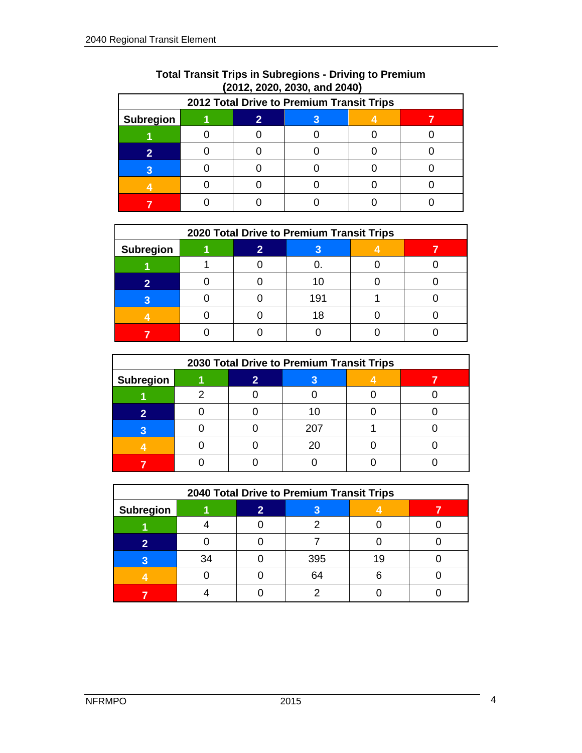| 2012 Total Drive to Premium Transit Trips |  |  |  |  |  |  |  |  |  |  |
|-------------------------------------------|--|--|--|--|--|--|--|--|--|--|
| <b>Subregion</b>                          |  |  |  |  |  |  |  |  |  |  |
|                                           |  |  |  |  |  |  |  |  |  |  |
|                                           |  |  |  |  |  |  |  |  |  |  |
|                                           |  |  |  |  |  |  |  |  |  |  |
|                                           |  |  |  |  |  |  |  |  |  |  |
|                                           |  |  |  |  |  |  |  |  |  |  |

## **Total Transit Trips in Subregions - Driving to Premium (2012, 2020, 2030, and 2040)**

| 2020 Total Drive to Premium Transit Trips |  |  |     |  |  |  |  |  |  |
|-------------------------------------------|--|--|-----|--|--|--|--|--|--|
| <b>Subregion</b>                          |  |  |     |  |  |  |  |  |  |
|                                           |  |  |     |  |  |  |  |  |  |
|                                           |  |  |     |  |  |  |  |  |  |
|                                           |  |  | 191 |  |  |  |  |  |  |
|                                           |  |  |     |  |  |  |  |  |  |
|                                           |  |  |     |  |  |  |  |  |  |

| 2030 Total Drive to Premium Transit Trips |  |  |     |  |  |  |  |  |
|-------------------------------------------|--|--|-----|--|--|--|--|--|
| <b>Subregion</b>                          |  |  |     |  |  |  |  |  |
|                                           |  |  |     |  |  |  |  |  |
|                                           |  |  |     |  |  |  |  |  |
|                                           |  |  | 207 |  |  |  |  |  |
|                                           |  |  | 20  |  |  |  |  |  |
|                                           |  |  |     |  |  |  |  |  |

| 2040 Total Drive to Premium Transit Trips |    |    |     |    |  |  |  |  |
|-------------------------------------------|----|----|-----|----|--|--|--|--|
| <b>Subregion</b>                          |    | 9. |     |    |  |  |  |  |
|                                           |    |    |     |    |  |  |  |  |
|                                           |    |    |     |    |  |  |  |  |
|                                           | 34 |    | 395 | 19 |  |  |  |  |
|                                           |    |    | 64  |    |  |  |  |  |
|                                           |    |    |     |    |  |  |  |  |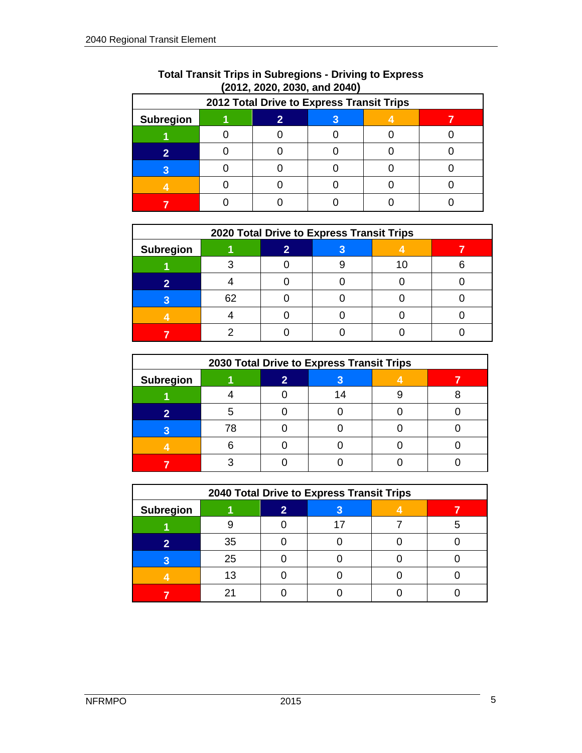|                  | 2012 Total Drive to Express Transit Trips |  |  |  |  |  |  |  |  |  |
|------------------|-------------------------------------------|--|--|--|--|--|--|--|--|--|
| <b>Subregion</b> |                                           |  |  |  |  |  |  |  |  |  |
|                  |                                           |  |  |  |  |  |  |  |  |  |
|                  |                                           |  |  |  |  |  |  |  |  |  |
|                  |                                           |  |  |  |  |  |  |  |  |  |
|                  |                                           |  |  |  |  |  |  |  |  |  |
|                  |                                           |  |  |  |  |  |  |  |  |  |

#### **Total Transit Trips in Subregions - Driving to Express (2012, 2020, 2030, and 2040)**

| 2020 Total Drive to Express Transit Trips |    |  |  |  |  |  |  |  |  |
|-------------------------------------------|----|--|--|--|--|--|--|--|--|
| <b>Subregion</b>                          |    |  |  |  |  |  |  |  |  |
|                                           |    |  |  |  |  |  |  |  |  |
|                                           |    |  |  |  |  |  |  |  |  |
|                                           | 62 |  |  |  |  |  |  |  |  |
|                                           |    |  |  |  |  |  |  |  |  |
|                                           |    |  |  |  |  |  |  |  |  |

| 2030 Total Drive to Express Transit Trips |    |  |  |  |  |  |  |  |
|-------------------------------------------|----|--|--|--|--|--|--|--|
| <b>Subregion</b>                          | 2  |  |  |  |  |  |  |  |
|                                           |    |  |  |  |  |  |  |  |
|                                           |    |  |  |  |  |  |  |  |
|                                           | 7۶ |  |  |  |  |  |  |  |
|                                           |    |  |  |  |  |  |  |  |
|                                           |    |  |  |  |  |  |  |  |

| 2040 Total Drive to Express Transit Trips |    |  |  |  |  |  |  |  |
|-------------------------------------------|----|--|--|--|--|--|--|--|
| <b>Subregion</b>                          |    |  |  |  |  |  |  |  |
|                                           |    |  |  |  |  |  |  |  |
|                                           | 35 |  |  |  |  |  |  |  |
|                                           | 25 |  |  |  |  |  |  |  |
|                                           |    |  |  |  |  |  |  |  |
|                                           |    |  |  |  |  |  |  |  |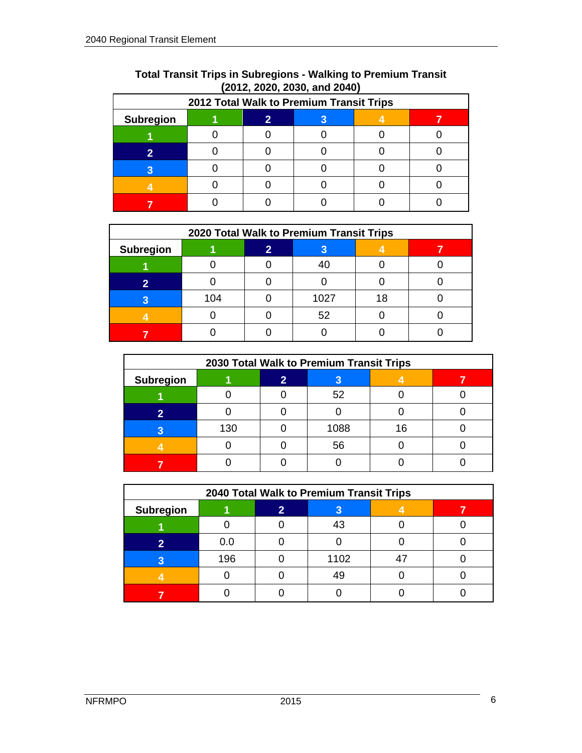|                  | 2012 Total Walk to Premium Transit Trips |  |  |  |  |  |  |  |
|------------------|------------------------------------------|--|--|--|--|--|--|--|
| <b>Subregion</b> |                                          |  |  |  |  |  |  |  |
|                  |                                          |  |  |  |  |  |  |  |
|                  |                                          |  |  |  |  |  |  |  |
|                  |                                          |  |  |  |  |  |  |  |
|                  |                                          |  |  |  |  |  |  |  |
|                  |                                          |  |  |  |  |  |  |  |

| <b>Total Transit Trips in Subregions - Walking to Premium Transit</b> |  |
|-----------------------------------------------------------------------|--|
| $(2012, 2020, 2030,$ and $2040)$                                      |  |

| 2020 Total Walk to Premium Transit Trips |     |  |      |    |  |  |  |  |
|------------------------------------------|-----|--|------|----|--|--|--|--|
| <b>Subregion</b>                         |     |  |      |    |  |  |  |  |
|                                          |     |  | 40   |    |  |  |  |  |
|                                          |     |  |      |    |  |  |  |  |
|                                          | 104 |  | 1027 | 18 |  |  |  |  |
|                                          |     |  | 52   |    |  |  |  |  |
|                                          |     |  |      |    |  |  |  |  |

| 2030 Total Walk to Premium Transit Trips |     |  |      |  |  |  |  |
|------------------------------------------|-----|--|------|--|--|--|--|
| <b>Subregion</b>                         |     |  |      |  |  |  |  |
|                                          |     |  | 52   |  |  |  |  |
|                                          |     |  |      |  |  |  |  |
|                                          | 130 |  | 1088 |  |  |  |  |
|                                          |     |  | 56   |  |  |  |  |
|                                          |     |  |      |  |  |  |  |

| 2040 Total Walk to Premium Transit Trips |     |  |      |  |  |  |  |  |
|------------------------------------------|-----|--|------|--|--|--|--|--|
| <b>Subregion</b>                         |     |  |      |  |  |  |  |  |
|                                          |     |  |      |  |  |  |  |  |
|                                          | 0.0 |  |      |  |  |  |  |  |
|                                          | 196 |  | 1102 |  |  |  |  |  |
|                                          |     |  |      |  |  |  |  |  |
|                                          |     |  |      |  |  |  |  |  |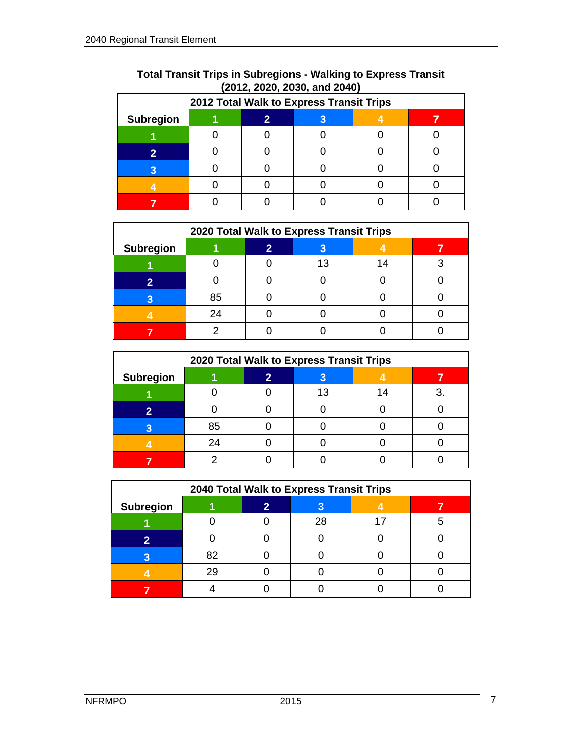| 2012 Total Walk to Express Transit Trips |  |  |  |  |  |  |  |
|------------------------------------------|--|--|--|--|--|--|--|
| <b>Subregion</b>                         |  |  |  |  |  |  |  |
|                                          |  |  |  |  |  |  |  |
|                                          |  |  |  |  |  |  |  |
|                                          |  |  |  |  |  |  |  |
|                                          |  |  |  |  |  |  |  |
|                                          |  |  |  |  |  |  |  |

| <b>Total Transit Trips in Subregions - Walking to Express Transit</b> |                                  |  |  |
|-----------------------------------------------------------------------|----------------------------------|--|--|
|                                                                       | $(2012, 2020, 2030,$ and $2040)$ |  |  |

| 2020 Total Walk to Express Transit Trips |    |  |    |  |  |  |  |  |
|------------------------------------------|----|--|----|--|--|--|--|--|
| <b>Subregion</b>                         |    |  |    |  |  |  |  |  |
|                                          |    |  | 13 |  |  |  |  |  |
|                                          |    |  |    |  |  |  |  |  |
|                                          | 85 |  |    |  |  |  |  |  |
|                                          | 24 |  |    |  |  |  |  |  |
|                                          |    |  |    |  |  |  |  |  |

| 2020 Total Walk to Express Transit Trips |    |  |   |  |  |  |  |
|------------------------------------------|----|--|---|--|--|--|--|
| <b>Subregion</b>                         |    |  | 3 |  |  |  |  |
|                                          |    |  |   |  |  |  |  |
|                                          |    |  |   |  |  |  |  |
|                                          | 85 |  |   |  |  |  |  |
|                                          | 24 |  |   |  |  |  |  |
|                                          |    |  |   |  |  |  |  |

| 2040 Total Walk to Express Transit Trips |    |  |    |  |  |  |  |
|------------------------------------------|----|--|----|--|--|--|--|
| <b>Subregion</b>                         |    |  |    |  |  |  |  |
|                                          |    |  | 28 |  |  |  |  |
|                                          |    |  |    |  |  |  |  |
|                                          |    |  |    |  |  |  |  |
|                                          | 26 |  |    |  |  |  |  |
|                                          |    |  |    |  |  |  |  |